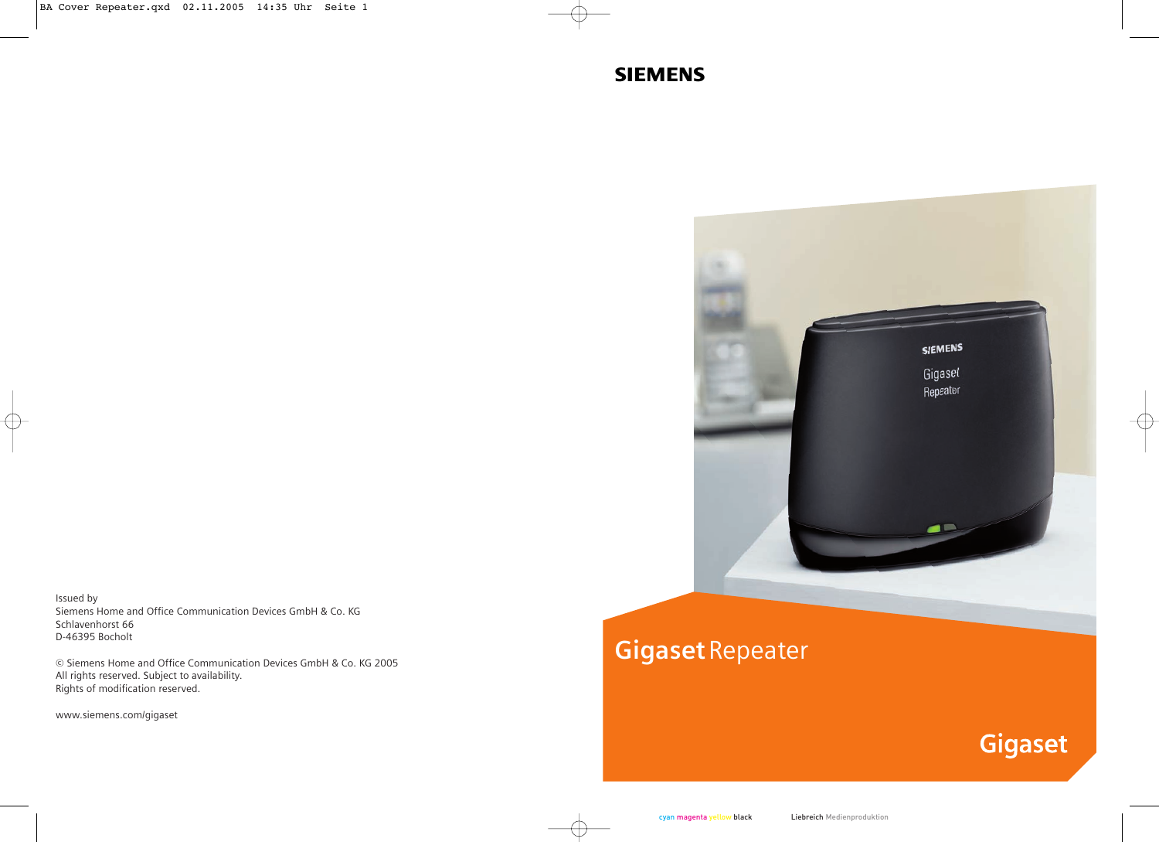# **SIEMENS**



Issued by Siemens Home and Office Communication Devices GmbH & Co. KG Schlavenhorst 66 D-46395 Bocholt

© Siemens Home and Office Communication Devices GmbH & Co. KG 2005 All rights reserved. Subject to availability. Rights of modification reserved.

www.siemens.com/gigaset

# **Gigaset**Repeater

# **Gigaset**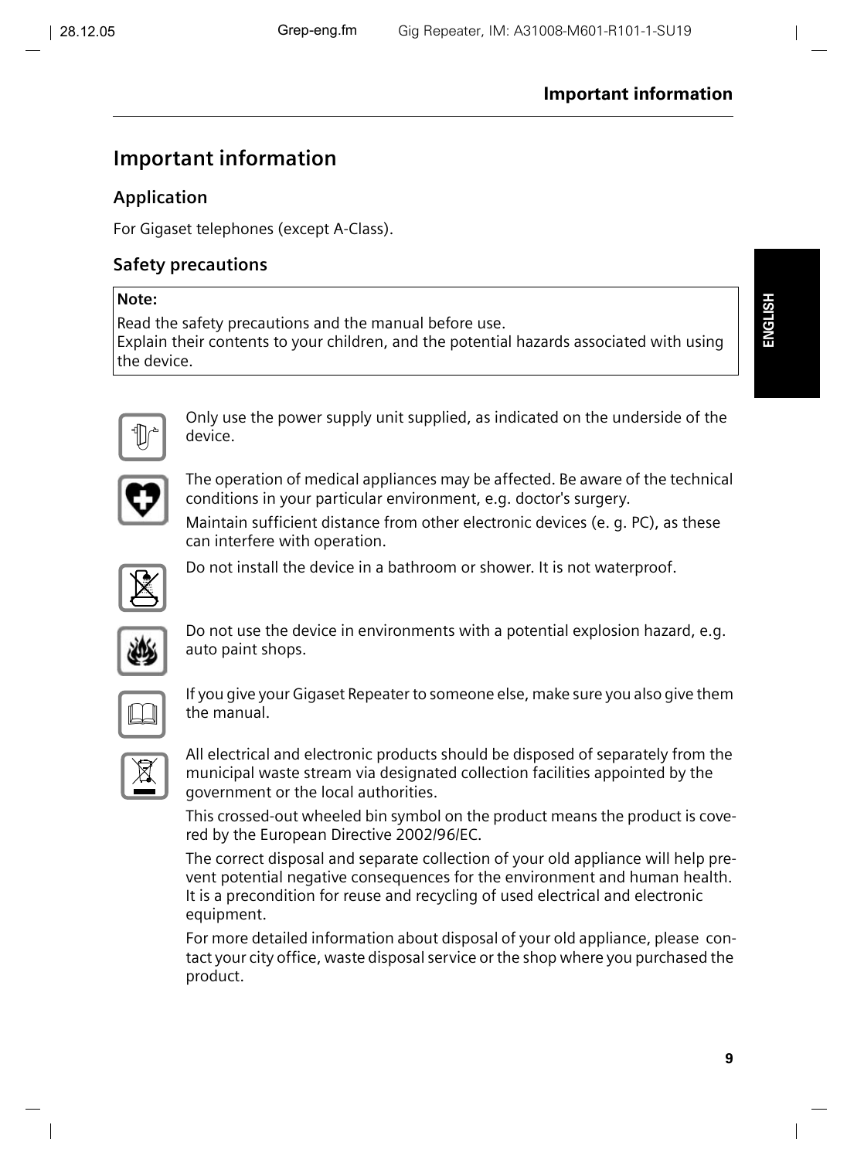## **Important information**

## **Application**

For Gigaset telephones (except A-Class).

## **Safety precautions**

#### **Note:**

Read the safety precautions and the manual before use.

Explain their contents to your children, and the potential hazards associated with using the device.



Only use the power supply unit supplied, as indicated on the underside of the device.



The operation of medical appliances may be affected. Be aware of the technical conditions in your particular environment, e.g. doctor's surgery.

Maintain sufficient distance from other electronic devices (e. g. PC), as these can interfere with operation.



Do not install the device in a bathroom or shower. It is not waterproof.



Do not use the device in environments with a potential explosion hazard, e.g. auto paint shops.

If you give your Gigaset Repeater to someone else, make sure you also give them the manual.

All electrical and electronic products should be disposed of separately from the municipal waste stream via designated collection facilities appointed by the government or the local authorities.

This crossed-out wheeled bin symbol on the product means the product is covered by the European Directive 2002/96/EC.

The correct disposal and separate collection of your old appliance will help prevent potential negative consequences for the environment and human health. It is a precondition for reuse and recycling of used electrical and electronic equipment.

For more detailed information about disposal of your old appliance, please contact your city office, waste disposal service or the shop where you purchased the product.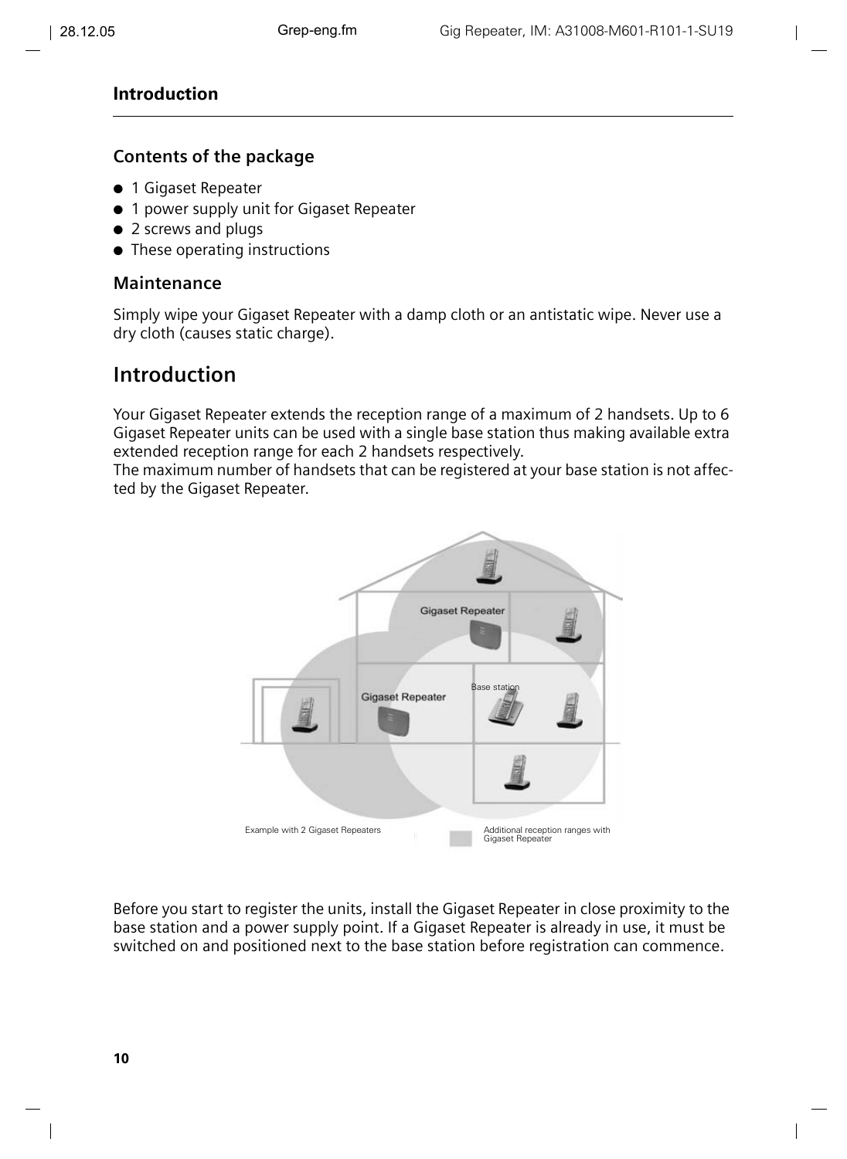#### **Contents of the package**

- 1 Gigaset Repeater
- 1 power supply unit for Gigaset Repeater
- 2 screws and plugs
- These operating instructions

#### **Maintenance**

Simply wipe your Gigaset Repeater with a damp cloth or an antistatic wipe. Never use a dry cloth (causes static charge).

## **Introduction**

Your Gigaset Repeater extends the reception range of a maximum of 2 handsets. Up to 6 Gigaset Repeater units can be used with a single base station thus making available extra extended reception range for each 2 handsets respectively.

The maximum number of handsets that can be registered at your base station is not affected by the Gigaset Repeater.



Before you start to register the units, install the Gigaset Repeater in close proximity to the base station and a power supply point. If a Gigaset Repeater is already in use, it must be switched on and positioned next to the base station before registration can commence.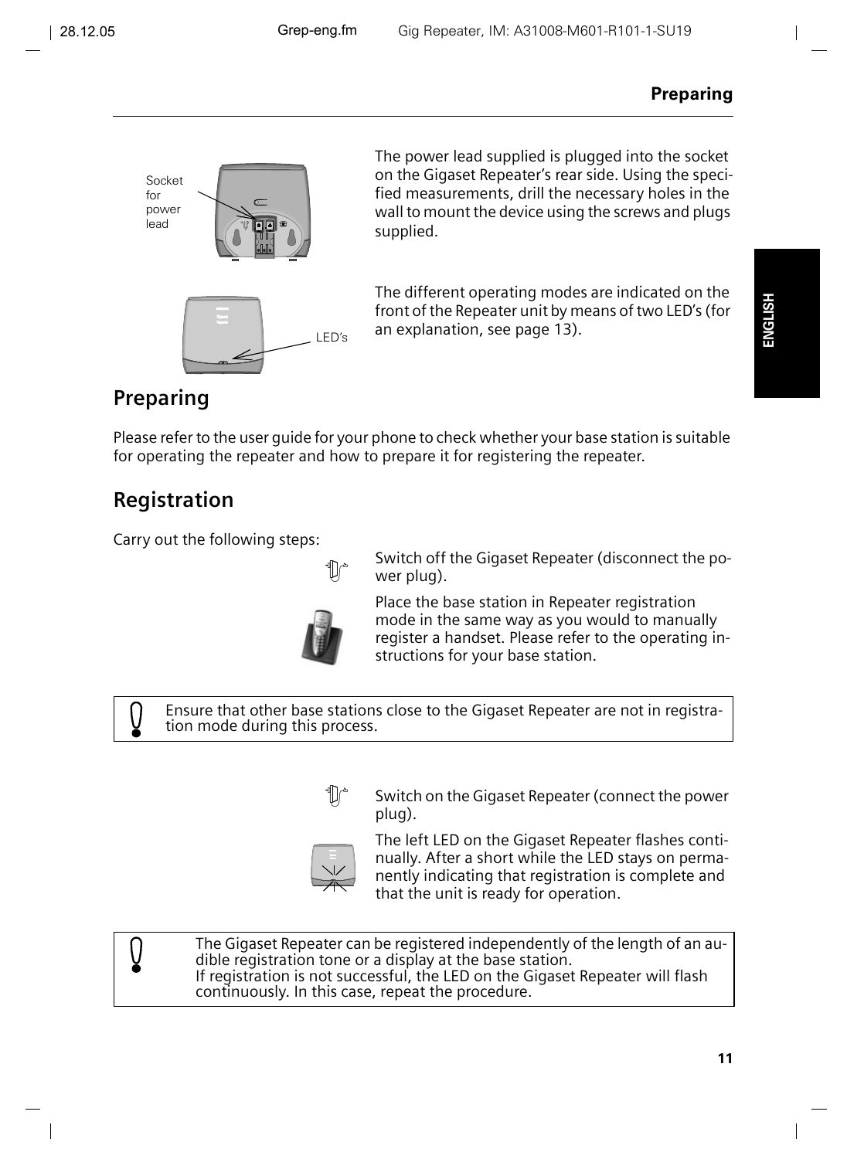

The power lead supplied is plugged into the socket on the Gigaset Repeater's rear side. Using the specified measurements, drill the necessary holes in the wall to mount the device using the screws and plugs supplied.

The different operating modes are indicated on the front of the Repeater unit by means of two LED's (for an explanation, [see page 13\)](#page-5-0).

## **Preparing**

Please refer to the user guide for your phone to check whether your base station is suitable for operating the repeater and how to prepare it for registering the repeater.

## **Registration**

Ŋ

Carry out the following steps:



Switch off the Gigaset Repeater (disconnect the power plug).

Place the base station in Repeater registration mode in the same way as you would to manually register a handset. Please refer to the operating instructions for your base station.

Ensure that other base stations close to the Gigaset Repeater are not in registration mode during this process.



Switch on the Gigaset Repeater (connect the power plug).

The left LED on the Gigaset Repeater flashes continually. After a short while the LED stays on permanently indicating that registration is complete and that the unit is ready for operation.

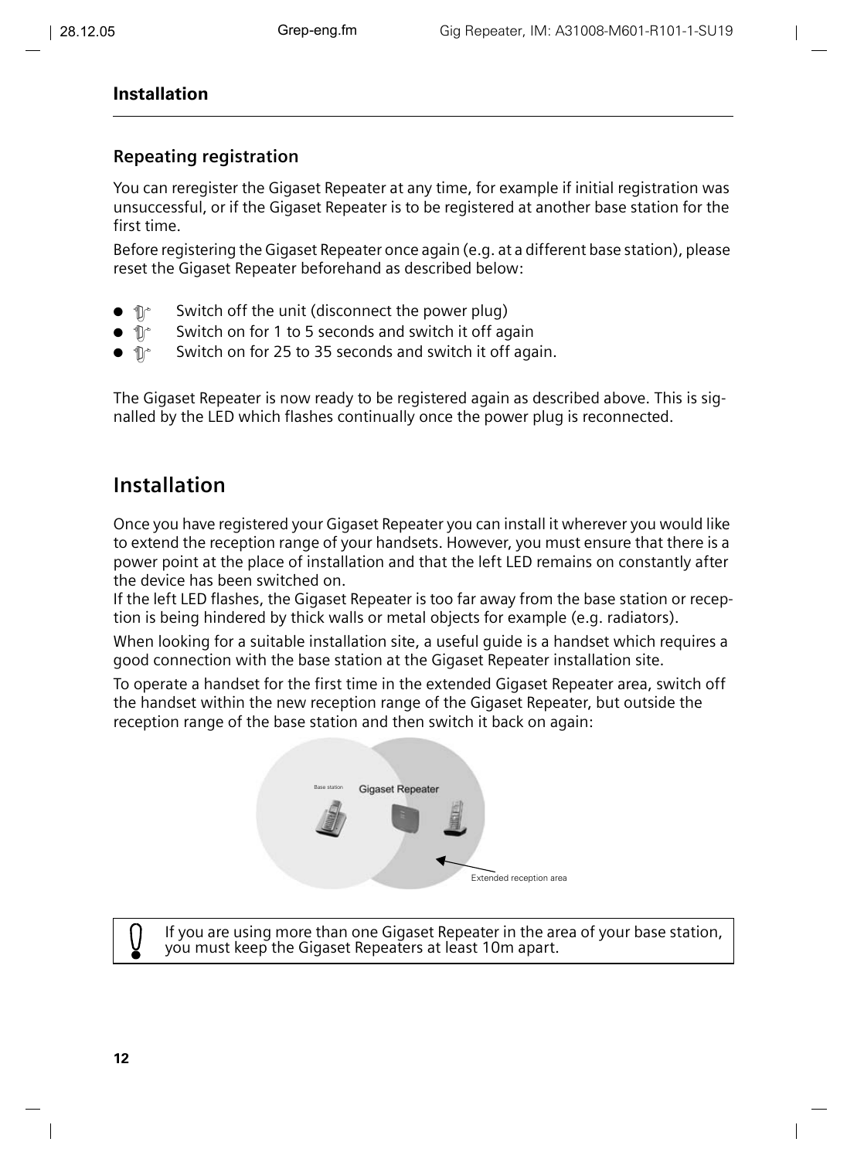## **Repeating registration**

You can reregister the Gigaset Repeater at any time, for example if initial registration was unsuccessful, or if the Gigaset Repeater is to be registered at another base station for the first time.

Before registering the Gigaset Repeater once again (e.g. at a different base station), please reset the Gigaset Repeater beforehand as described below:

- $\bullet$   $\mathbb{D}^*$  Switch off the unit (disconnect the power plug)
- $\bullet$   $\mathbb{D}^*$  Switch on for 1 to 5 seconds and switch it off again
- $\bullet$   $\mathbb{D}^*$  Switch on for 25 to 35 seconds and switch it off again.

The Gigaset Repeater is now ready to be registered again as described above. This is signalled by the LED which flashes continually once the power plug is reconnected.

## **Installation**

Once you have registered your Gigaset Repeater you can install it wherever you would like to extend the reception range of your handsets. However, you must ensure that there is a power point at the place of installation and that the left LED remains on constantly after the device has been switched on.

If the left LED flashes, the Gigaset Repeater is too far away from the base station or reception is being hindered by thick walls or metal objects for example (e.g. radiators).

When looking for a suitable installation site, a useful guide is a handset which requires a good connection with the base station at the Gigaset Repeater installation site.

To operate a handset for the first time in the extended Gigaset Repeater area, switch off the handset within the new reception range of the Gigaset Repeater, but outside the reception range of the base station and then switch it back on again:



If you are using more than one Gigaset Repeater in the area of your base station, you must keep the Gigaset Repeaters at least 10m apart.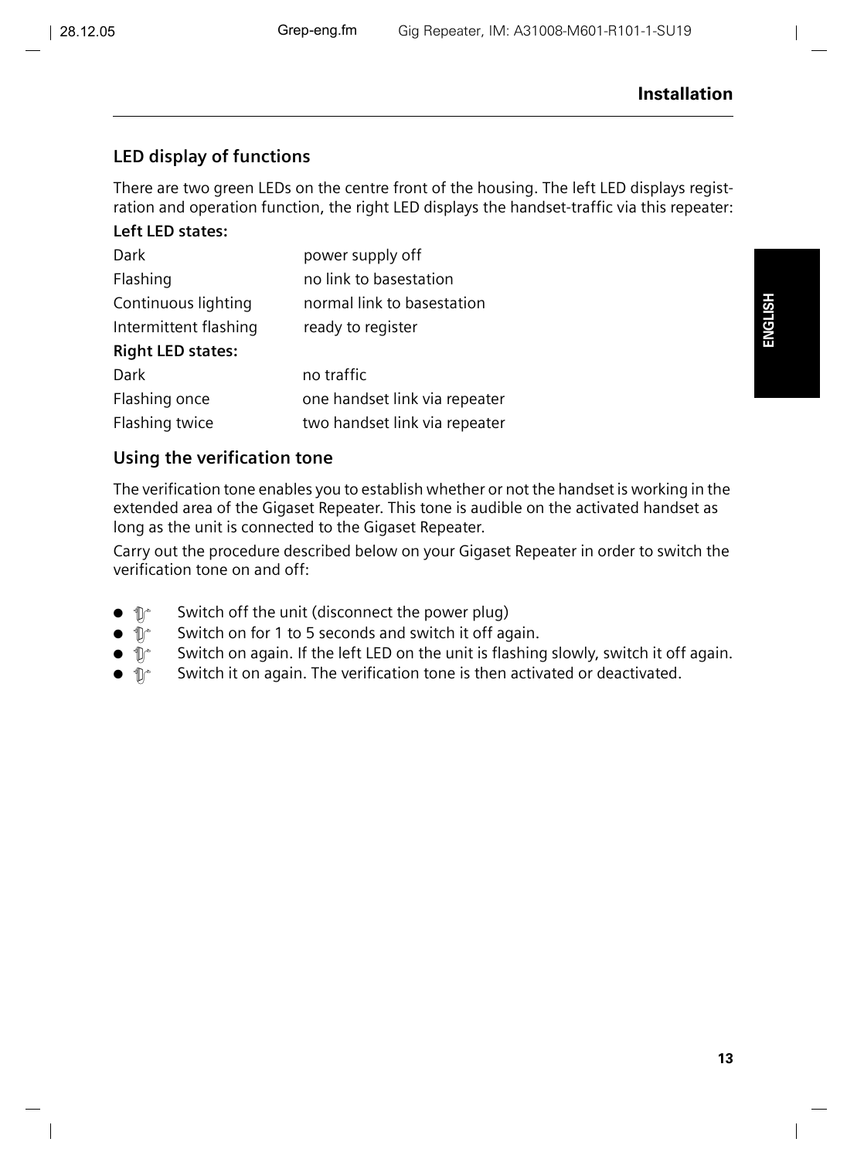## <span id="page-5-0"></span>**LED display of functions**

There are two green LEDs on the centre front of the housing. The left LED displays registration and operation function, the right LED displays the handset-traffic via this repeater:

#### **Left LED states:**

| Dark                     | power supply off              |  |  |
|--------------------------|-------------------------------|--|--|
| Flashing                 | no link to basestation        |  |  |
| Continuous lighting      | normal link to basestation    |  |  |
| Intermittent flashing    | ready to register             |  |  |
| <b>Right LED states:</b> |                               |  |  |
| Dark                     | no traffic                    |  |  |
| Flashing once            | one handset link via repeater |  |  |
| Flashing twice           | two handset link via repeater |  |  |

#### **Using the verification tone**

The verification tone enables you to establish whether or not the handset is working in the extended area of the Gigaset Repeater. This tone is audible on the activated handset as long as the unit is connected to the Gigaset Repeater.

Carry out the procedure described below on your Gigaset Repeater in order to switch the verification tone on and off:

- $\mathbb{D}^*$  Switch off the unit (disconnect the power plug)
- $\mathbb{D}^*$  Switch on for 1 to 5 seconds and switch it off again.
- $\mathbb{R}$  Switch on again. If the left LED on the unit is flashing slowly, switch it off again.
- $\mathbb{D}^*$  Switch it on again. The verification tone is then activated or deactivated.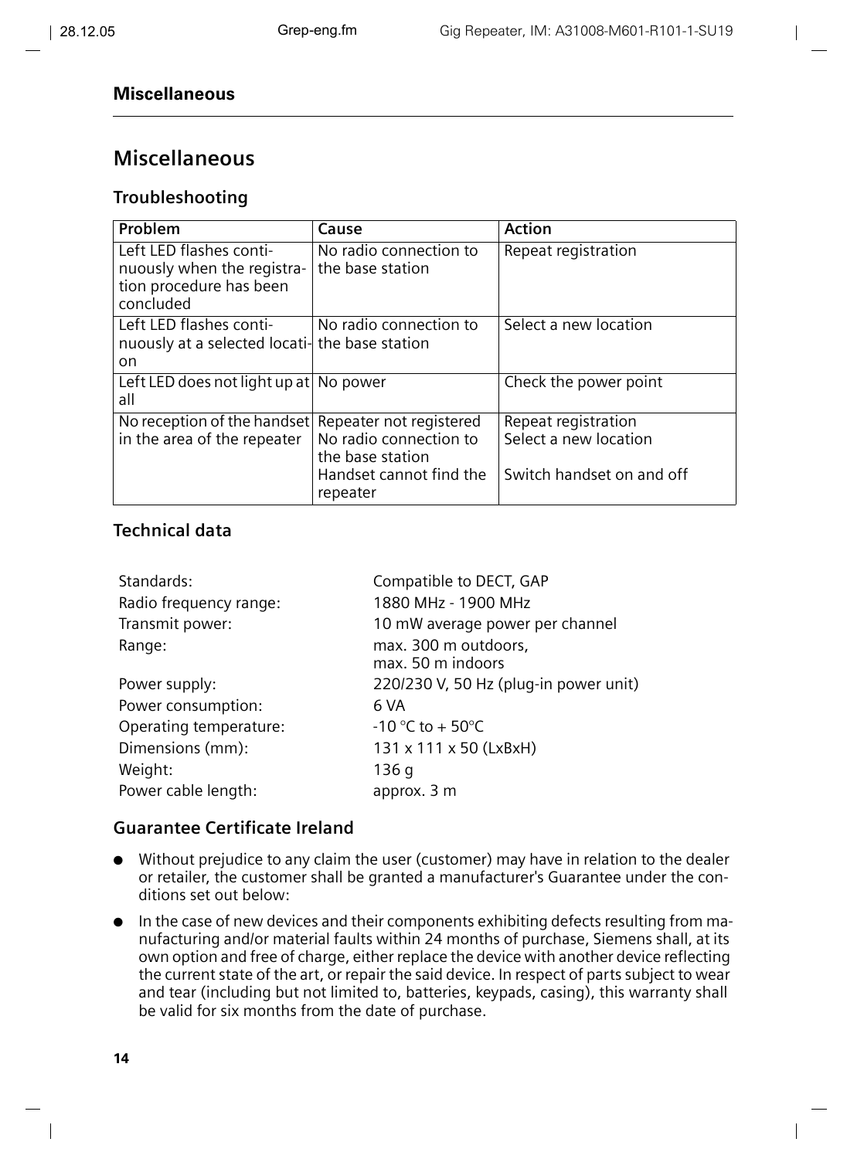## **Miscellaneous**

#### **Troubleshooting**

| Problem                                                                                       | Cause                                                                                                        | <b>Action</b>                                                             |
|-----------------------------------------------------------------------------------------------|--------------------------------------------------------------------------------------------------------------|---------------------------------------------------------------------------|
| Left LED flashes conti-<br>nuously when the registra-<br>tion procedure has been<br>concluded | No radio connection to<br>the base station                                                                   | Repeat registration                                                       |
| Left LED flashes conti-<br>nuously at a selected locati- the base station<br>on.              | No radio connection to                                                                                       | Select a new location                                                     |
| Left LED does not light up at No power<br>all                                                 |                                                                                                              | Check the power point                                                     |
| No reception of the handset<br>in the area of the repeater                                    | Repeater not registered<br>No radio connection to<br>the base station<br>Handset cannot find the<br>repeater | Repeat registration<br>Select a new location<br>Switch handset on and off |

#### **Technical data**

| Standards:             | Compatible to DECT, GAP                   |
|------------------------|-------------------------------------------|
| Radio frequency range: | 1880 MHz - 1900 MHz                       |
| Transmit power:        | 10 mW average power per channel           |
| Range:                 | max. 300 m outdoors,<br>max. 50 m indoors |
| Power supply:          | 220/230 V, 50 Hz (plug-in power unit)     |
| Power consumption:     | 6 VA                                      |
| Operating temperature: | $-10$ °C to + 50°C                        |
| Dimensions (mm):       | 131 x 111 x 50 (LxBxH)                    |
| Weight:                | 136 g                                     |
| Power cable length:    | approx. 3 m                               |

#### **Guarantee Certificate Ireland**

- Without prejudice to any claim the user (customer) may have in relation to the dealer or retailer, the customer shall be granted a manufacturer's Guarantee under the conditions set out below:
- In the case of new devices and their components exhibiting defects resulting from manufacturing and/or material faults within 24 months of purchase, Siemens shall, at its own option and free of charge, either replace the device with another device reflecting the current state of the art, or repair the said device. In respect of parts subject to wear and tear (including but not limited to, batteries, keypads, casing), this warranty shall be valid for six months from the date of purchase.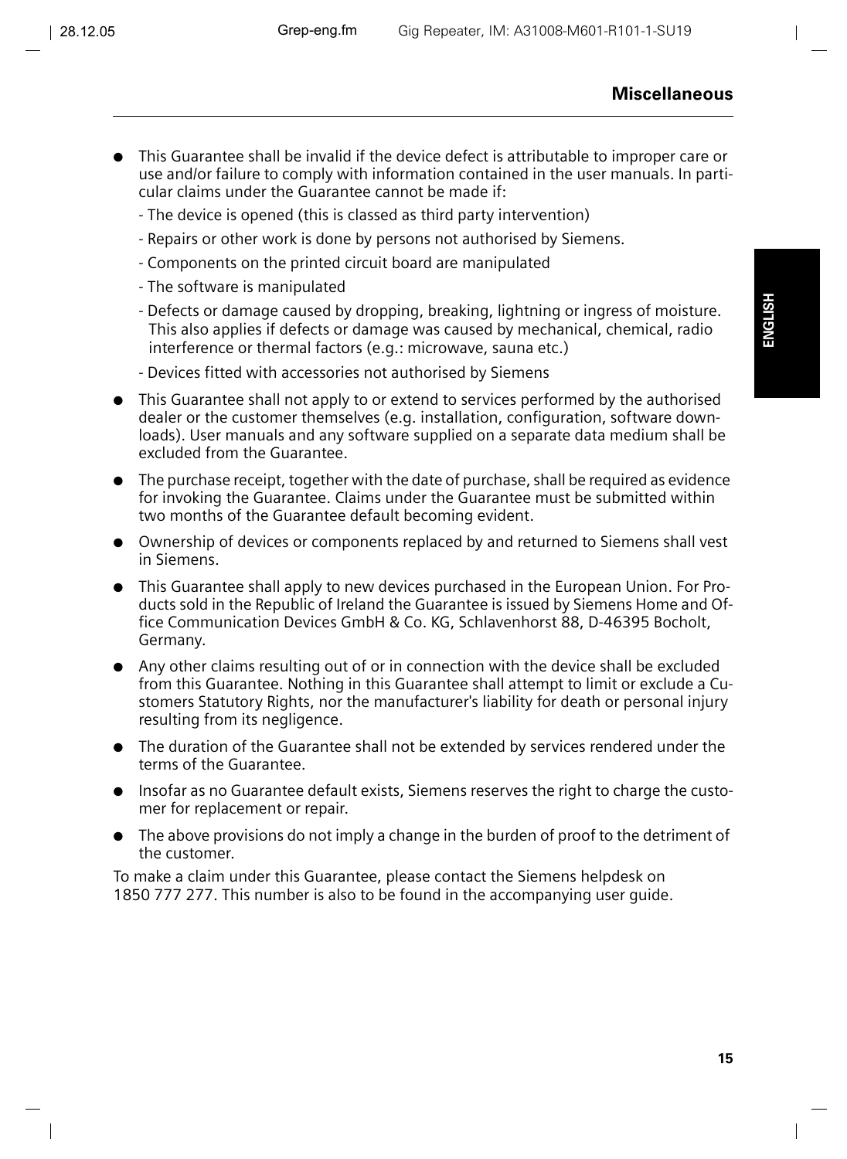**ENGLISH**

- This Guarantee shall be invalid if the device defect is attributable to improper care or use and/or failure to comply with information contained in the user manuals. In particular claims under the Guarantee cannot be made if:
	- The device is opened (this is classed as third party intervention)
	- Repairs or other work is done by persons not authorised by Siemens.
	- Components on the printed circuit board are manipulated
	- The software is manipulated
	- Defects or damage caused by dropping, breaking, lightning or ingress of moisture. This also applies if defects or damage was caused by mechanical, chemical, radio interference or thermal factors (e.g.: microwave, sauna etc.)
	- Devices fitted with accessories not authorised by Siemens
- This Guarantee shall not apply to or extend to services performed by the authorised dealer or the customer themselves (e.g. installation, configuration, software downloads). User manuals and any software supplied on a separate data medium shall be excluded from the Guarantee.
- $\bullet$  The purchase receipt, together with the date of purchase, shall be required as evidence for invoking the Guarantee. Claims under the Guarantee must be submitted within two months of the Guarantee default becoming evident.
- Ownership of devices or components replaced by and returned to Siemens shall vest in Siemens.
- This Guarantee shall apply to new devices purchased in the European Union. For Products sold in the Republic of Ireland the Guarantee is issued by Siemens Home and Office Communication Devices GmbH & Co. KG, Schlavenhorst 88, D-46395 Bocholt, Germany.
- Any other claims resulting out of or in connection with the device shall be excluded from this Guarantee. Nothing in this Guarantee shall attempt to limit or exclude a Customers Statutory Rights, nor the manufacturer's liability for death or personal injury resulting from its negligence.
- The duration of the Guarantee shall not be extended by services rendered under the terms of the Guarantee.
- Insofar as no Guarantee default exists, Siemens reserves the right to charge the customer for replacement or repair.
- The above provisions do not imply a change in the burden of proof to the detriment of the customer.

To make a claim under this Guarantee, please contact the Siemens helpdesk on 1850 777 277. This number is also to be found in the accompanying user guide.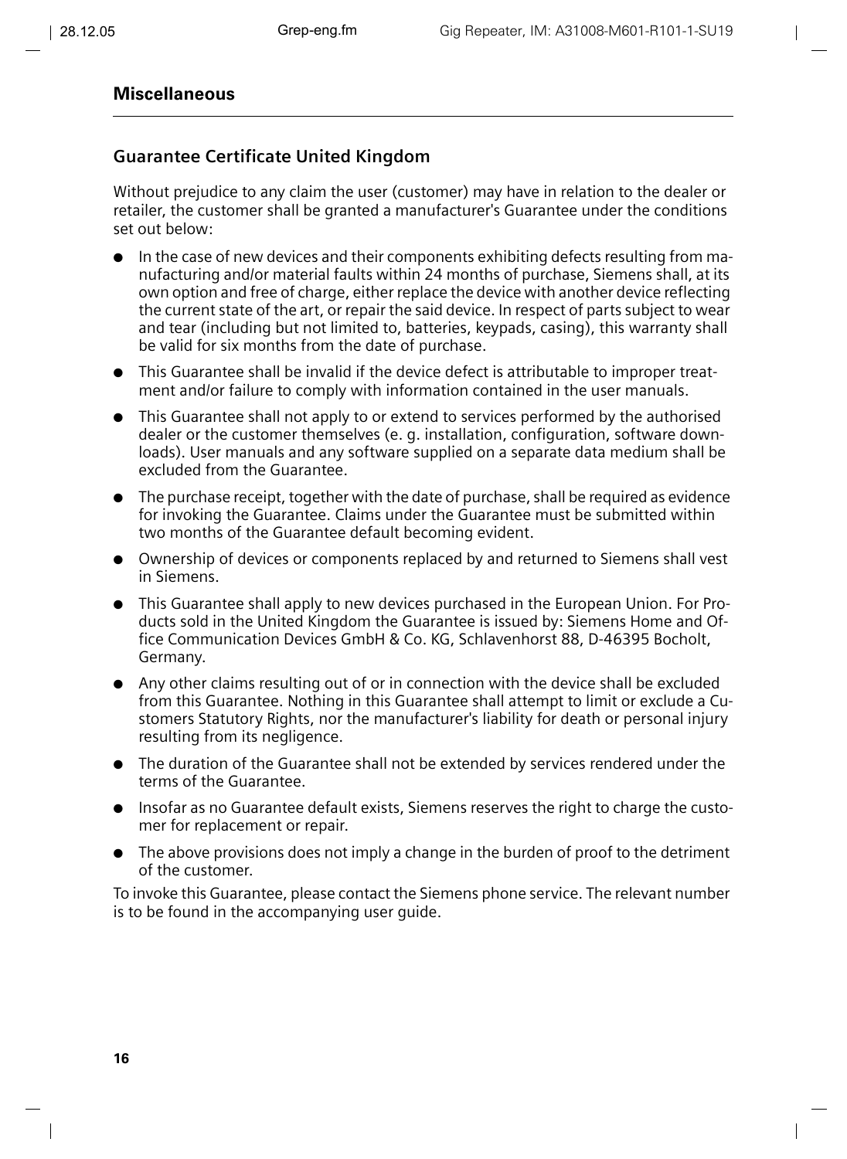#### **Guarantee Certificate United Kingdom**

Without prejudice to any claim the user (customer) may have in relation to the dealer or retailer, the customer shall be granted a manufacturer's Guarantee under the conditions set out below:

- In the case of new devices and their components exhibiting defects resulting from manufacturing and/or material faults within 24 months of purchase, Siemens shall, at its own option and free of charge, either replace the device with another device reflecting the current state of the art, or repair the said device. In respect of parts subject to wear and tear (including but not limited to, batteries, keypads, casing), this warranty shall be valid for six months from the date of purchase.
- This Guarantee shall be invalid if the device defect is attributable to improper treatment and/or failure to comply with information contained in the user manuals.
- This Guarantee shall not apply to or extend to services performed by the authorised dealer or the customer themselves (e. g. installation, configuration, software downloads). User manuals and any software supplied on a separate data medium shall be excluded from the Guarantee.
- The purchase receipt, together with the date of purchase, shall be required as evidence for invoking the Guarantee. Claims under the Guarantee must be submitted within two months of the Guarantee default becoming evident.
- Ownership of devices or components replaced by and returned to Siemens shall vest in Siemens.
- This Guarantee shall apply to new devices purchased in the European Union. For Products sold in the United Kingdom the Guarantee is issued by: Siemens Home and Office Communication Devices GmbH & Co. KG, Schlavenhorst 88, D-46395 Bocholt, Germany.
- Any other claims resulting out of or in connection with the device shall be excluded from this Guarantee. Nothing in this Guarantee shall attempt to limit or exclude a Customers Statutory Rights, nor the manufacturer's liability for death or personal injury resulting from its negligence.
- The duration of the Guarantee shall not be extended by services rendered under the terms of the Guarantee.
- Insofar as no Guarantee default exists, Siemens reserves the right to charge the customer for replacement or repair.
- The above provisions does not imply a change in the burden of proof to the detriment of the customer.

To invoke this Guarantee, please contact the Siemens phone service. The relevant number is to be found in the accompanying user guide.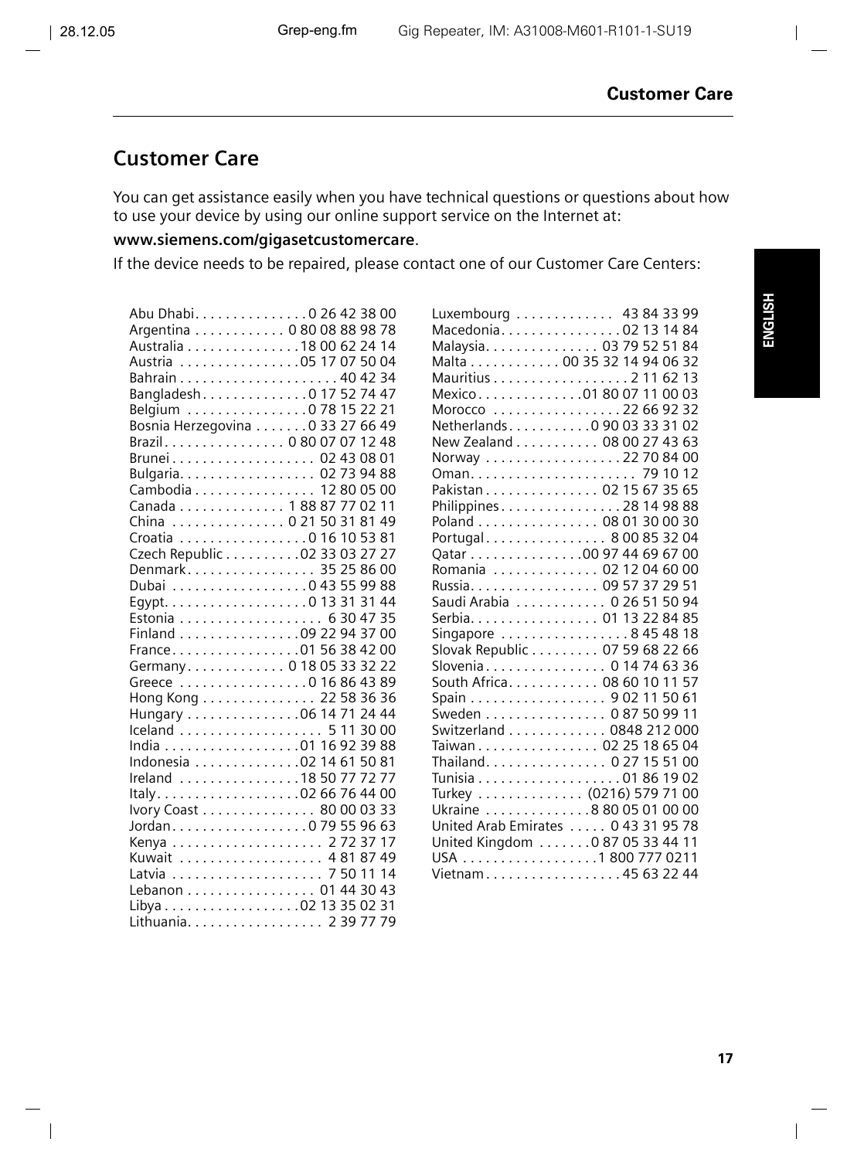# **Customer Care**

You can get assistance easily when you have technical questions or questions about how to use your device by using our online support service on the Internet at:

## **www.siemens.com/gigasetcustomercare**.

If the device needs to be repaired, please contact one of our Customer Care Centers:

| Abu Dhabi. 0 26 42 38 00         |
|----------------------------------|
| Argentina 0 80 08 88 98 78       |
| Australia 18 00 62 24 14         |
| Austria 05 17 07 50 04           |
|                                  |
|                                  |
| Belgium 0 78 15 22 21            |
|                                  |
| Bosnia Herzegovina 0 33 27 66 49 |
| Brazil. 0 80 07 07 12 48         |
| Brunei 02 43 08 01               |
| Bulgaria. 02 73 94 88            |
| Cambodia 12 80 05 00             |
| Canada 1 88 87 77 02 11          |
| China  0 21 50 31 81 49          |
| Croatia 0 16 10 53 81            |
| Czech Republic 02 33 03 27 27    |
| Denmark 35 25 86 00              |
| Dubai 0 43 55 99 88              |
| Egypt. 0 13 31 31 44             |
| Estonia 6 30 47 35               |
| Finland 09 22 94 37 00           |
| France. 01 56 38 42 00           |
| Germany. 0 18 05 33 32 22        |
| Greece 0 16 86 43 89             |
| Hong Kong 22 58 36 36            |
| Hungary 06 14 71 24 44           |
| Iceland 5 11 30 00               |
| India 01 16 92 39 88             |
| Indonesia 02 14 61 50 81         |
|                                  |
| Ireland 18 50 77 72 77           |
| Italy02 66 76 44 00              |
| Ivory Coast 80 00 03 33          |
| Jordan. 0 79 55 96 63            |
|                                  |
| Kuwait 4 81 87 49                |
|                                  |
| Lebanon 01 44 30 43              |
| Libya 02 13 35 02 31             |
| Lithuania. 2 39 77 79            |

| Luxembourg  43 84 33 99             |  |  |
|-------------------------------------|--|--|
| Macedonia02 13 14 84                |  |  |
| Malaysia. 03 79 52 51 84            |  |  |
| Malta 00 35 32 14 94 06 32          |  |  |
| Mauritius 2 11 62 13                |  |  |
| Mexico01 80 07 11 00 03             |  |  |
| Morocco 22 66 92 32                 |  |  |
| Netherlands. 0 90 03 33 31 02       |  |  |
| New Zealand 08 00 27 43 63          |  |  |
| Norway 22 70 84 00                  |  |  |
|                                     |  |  |
| Pakistan 02 15 67 35 65             |  |  |
| Philippines28 14 98 88              |  |  |
| Poland 08 01 30 00 30               |  |  |
| Portugal 8 00 85 32 04              |  |  |
| Qatar 00 97 44 69 67 00             |  |  |
| Romania  02 12 04 60 00             |  |  |
| Russia. 09 57 37 29 51              |  |  |
| Saudi Arabia 0 26 51 50 94          |  |  |
| Serbia. 01 13 22 84 85              |  |  |
| Singapore 8 45 48 18                |  |  |
| Slovak Republic 07 59 68 22 66      |  |  |
| Slovenia 0 14 74 63 36              |  |  |
| South Africa. 08 60 10 11 57        |  |  |
| Spain 9 02 11 50 61                 |  |  |
| Sweden 0 87 50 99 11                |  |  |
| Switzerland 0848 212 000            |  |  |
| Taiwan 02 25 18 65 04               |  |  |
| Thailand. 0 27 15 51 00             |  |  |
| Tunisia 01 86 19 02                 |  |  |
| Turkey  (0216) 579 71 00            |  |  |
| Ukraine 8 80 05 01 00 00            |  |  |
| United Arab Emirates  0 43 31 95 78 |  |  |
| United Kingdom 0 87 05 33 44 11     |  |  |
| USA 1 800 777 0211                  |  |  |
| Vietnam 45 63 22 44                 |  |  |